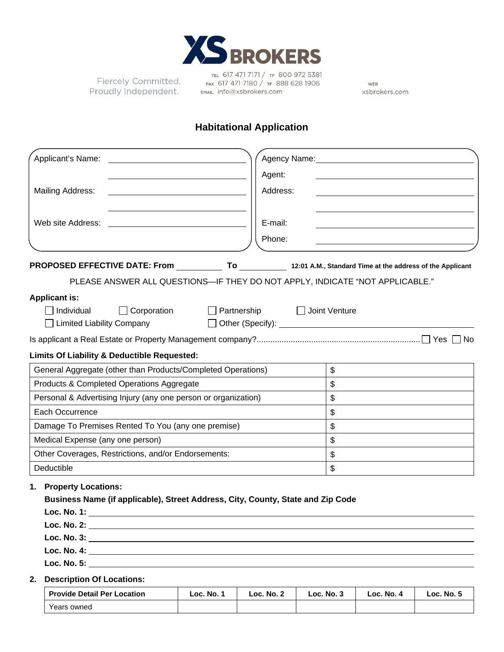

Fiercely Committed. Proudly Independent.

TEL 617 471 7171 / TF 800 972 5381<br>Fax 617 471 7180 / TF 888 628 1906 EMAIL info@xsbrokers.com

WEB xsbrokers.com

# **Habitational Application**

| Applicant's Name:                                                                                                                  | Agency Name: Name:                                          |
|------------------------------------------------------------------------------------------------------------------------------------|-------------------------------------------------------------|
|                                                                                                                                    | Agent:                                                      |
| <b>Mailing Address:</b>                                                                                                            | Address:                                                    |
|                                                                                                                                    |                                                             |
| Web site Address:                                                                                                                  | E-mail:                                                     |
|                                                                                                                                    | Phone:                                                      |
| PROPOSED EFFECTIVE DATE: From _____________ To ____________ 12:01 A.M., Standard Time at the address of the Applicant              |                                                             |
| PLEASE ANSWER ALL QUESTIONS-IF THEY DO NOT APPLY, INDICATE "NOT APPLICABLE."                                                       |                                                             |
| <b>Applicant is:</b>                                                                                                               |                                                             |
| Individual<br>$\Box$ Corporation                                                                                                   | □ Partnership □ Joint Venture                               |
| <b>Limited Liability Company</b>                                                                                                   | □ Other (Specify): <u>_________________________________</u> |
|                                                                                                                                    |                                                             |
| Limits Of Liability & Deductible Requested:                                                                                        |                                                             |
| General Aggregate (other than Products/Completed Operations)                                                                       | $\mathfrak{F}$                                              |
| Products & Completed Operations Aggregate                                                                                          | $\mathfrak{S}$                                              |
| Personal & Advertising Injury (any one person or organization)                                                                     | \$                                                          |
| Each Occurrence                                                                                                                    | \$                                                          |
| Damage To Premises Rented To You (any one premise)                                                                                 | \$                                                          |
| Medical Expense (any one person)                                                                                                   | $\mathbb{S}$                                                |
| Other Coverages, Restrictions, and/or Endorsements:                                                                                | $\mathbb{S}$                                                |
| Deductible                                                                                                                         | \$                                                          |
| <b>Property Locations:</b><br>1.<br>Business Name (if applicable), Street Address, City, County, State and Zip Code<br>Loc. No. 1: |                                                             |
|                                                                                                                                    |                                                             |
| <b>Description Of Locations:</b><br>2.                                                                                             |                                                             |

| <b>Provide Detail Per Location</b> | Loc. No. 1 | Loc. No. 2 | Loc. No. 3 | Loc. No. 4 | Loc. No. 5 |
|------------------------------------|------------|------------|------------|------------|------------|
| Years owned                        |            |            |            |            |            |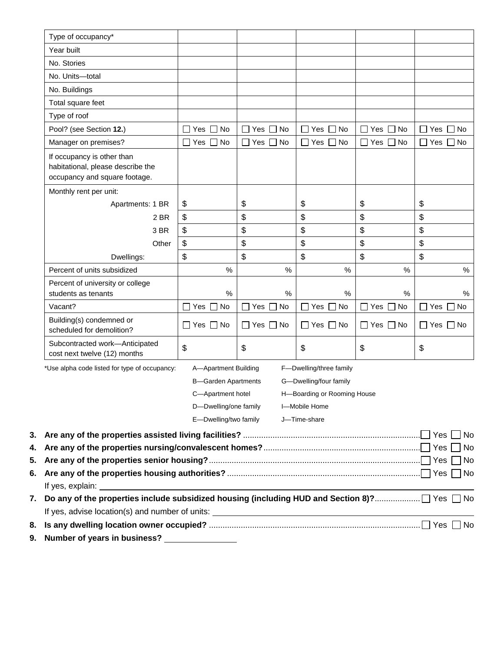| Type of occupancy*                                                                                                  |                                |             |                             |                      |                               |
|---------------------------------------------------------------------------------------------------------------------|--------------------------------|-------------|-----------------------------|----------------------|-------------------------------|
| Year built                                                                                                          |                                |             |                             |                      |                               |
| No. Stories                                                                                                         |                                |             |                             |                      |                               |
| No. Units-total                                                                                                     |                                |             |                             |                      |                               |
|                                                                                                                     |                                |             |                             |                      |                               |
| No. Buildings                                                                                                       |                                |             |                             |                      |                               |
| Total square feet                                                                                                   |                                |             |                             |                      |                               |
| Type of roof                                                                                                        |                                |             |                             |                      |                               |
| Pool? (see Section 12.)                                                                                             | No<br>Yes                      | No<br>Yes   | Yes<br>No                   | No<br>Yes            | Yes $\Box$ No                 |
| Manager on premises?                                                                                                | $\sqsupset$ No<br>Yes $\Gamma$ | No<br>Yes [ | No<br>Yes                   | No<br>Yes $\Box$     | Yes $\Box$ No                 |
| If occupancy is other than<br>habitational, please describe the<br>occupancy and square footage.                    |                                |             |                             |                      |                               |
| Monthly rent per unit:                                                                                              |                                |             |                             |                      |                               |
| Apartments: 1 BR                                                                                                    | \$                             | \$          | \$                          | \$                   | \$                            |
| 2 BR                                                                                                                | \$                             | \$          | \$                          | \$                   | \$                            |
| 3 BR                                                                                                                | \$                             | \$          | \$                          | \$                   | \$                            |
| Other                                                                                                               | \$                             | \$          | \$                          | \$                   | \$                            |
| Dwellings:                                                                                                          | \$                             | \$          | \$                          | \$                   | \$                            |
| Percent of units subsidized                                                                                         | $\%$                           | $\%$        | $\%$                        | $\%$                 | $\%$                          |
| Percent of university or college<br>students as tenants                                                             | $\%$                           | %           | %                           | %                    | $\%$                          |
| Vacant?                                                                                                             | No<br>Yes                      | Yes<br>No   | Yes<br>No                   | Yes<br>No            | Yes<br>No                     |
| Building(s) condemned or<br>scheduled for demolition?                                                               | □ Yes □ No                     | コ Yes ロ No  | $\Box$ Yes $\Box$ No        | $\Box$ Yes $\Box$ No | Yes $\Box$ No<br>$\mathsf{L}$ |
| Subcontracted work-Anticipated<br>cost next twelve (12) months                                                      | \$                             | \$          | \$                          | \$                   | $\frac{1}{2}$                 |
| *Use alpha code listed for type of occupancy:                                                                       | A-Apartment Building           |             | F-Dwelling/three family     |                      |                               |
|                                                                                                                     | <b>B-Garden Apartments</b>     |             | G-Dwelling/four family      |                      |                               |
|                                                                                                                     | C-Apartment hotel              |             | H-Boarding or Rooming House |                      |                               |
|                                                                                                                     | D-Dwelling/one family          |             | I-Mobile Home               |                      |                               |
|                                                                                                                     | E-Dwelling/two family          |             | J-Time-share                |                      |                               |
|                                                                                                                     |                                |             |                             |                      |                               |
|                                                                                                                     |                                |             |                             |                      |                               |
|                                                                                                                     |                                |             |                             |                      |                               |
|                                                                                                                     |                                |             |                             |                      |                               |
|                                                                                                                     |                                |             |                             |                      |                               |
| 7.   Do any of the properties include subsidized housing (including HUD and Section 8)?………………… $\Box$ Yes $\Box$ No |                                |             |                             |                      |                               |
|                                                                                                                     |                                |             |                             |                      |                               |
|                                                                                                                     |                                |             |                             |                      | Yes $\square$<br>No           |

**9. Number of years in business?**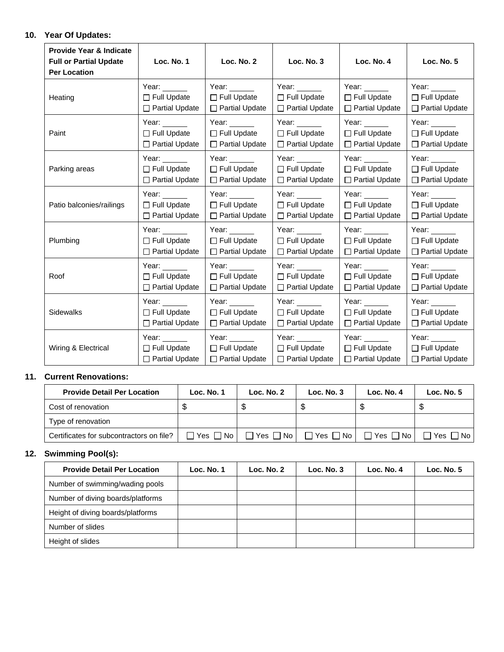## **10. Year Of Updates:**

| <b>Provide Year &amp; Indicate</b><br><b>Full or Partial Update</b><br><b>Per Location</b> | Loc. No. 1                                                                                                            | Loc. No. 2            | Loc. No. 3                                                                                                            | Loc. No. 4                                                                                                            | <b>Loc. No. 5</b>     |
|--------------------------------------------------------------------------------------------|-----------------------------------------------------------------------------------------------------------------------|-----------------------|-----------------------------------------------------------------------------------------------------------------------|-----------------------------------------------------------------------------------------------------------------------|-----------------------|
| Heating                                                                                    | Year:                                                                                                                 | Year: www.            | Year:                                                                                                                 | Year: $\_\_$                                                                                                          | Year:                 |
|                                                                                            | $\Box$ Full Update                                                                                                    | □ Full Update         | □ Full Update                                                                                                         | $\Box$ Full Update                                                                                                    | $\Box$ Full Update    |
|                                                                                            | $\Box$ Partial Update                                                                                                 | □ Partial Update      | $\Box$ Partial Update                                                                                                 | $\Box$ Partial Update                                                                                                 | $\Box$ Partial Update |
| Paint                                                                                      | Year: $\_\_$                                                                                                          | Year:                 | Year: $\frac{1}{\sqrt{1-\frac{1}{2}}\sqrt{1-\frac{1}{2}}\sqrt{1-\frac{1}{2}}\sqrt{1-\frac{1}{2}}\sqrt{1-\frac{1}{2}}$ | Year: $\frac{1}{\sqrt{1-\frac{1}{2}}\sqrt{1-\frac{1}{2}}\sqrt{1-\frac{1}{2}}\sqrt{1-\frac{1}{2}}\sqrt{1-\frac{1}{2}}$ | Year:                 |
|                                                                                            | $\Box$ Full Update                                                                                                    | $\Box$ Full Update    | $\Box$ Full Update                                                                                                    | $\Box$ Full Update                                                                                                    | $\Box$ Full Update    |
|                                                                                            | $\Box$ Partial Update                                                                                                 | $\Box$ Partial Update | $\Box$ Partial Update                                                                                                 | $\Box$ Partial Update                                                                                                 | $\Box$ Partial Update |
| Parking areas                                                                              | Year: $\frac{1}{\sqrt{1-\frac{1}{2}}\sqrt{1-\frac{1}{2}}\sqrt{1-\frac{1}{2}}\sqrt{1-\frac{1}{2}}\sqrt{1-\frac{1}{2}}$ | Year:                 | Year:                                                                                                                 | Year:                                                                                                                 | Year: ____            |
|                                                                                            | $\Box$ Full Update                                                                                                    | $\Box$ Full Update    | $\Box$ Full Update                                                                                                    | $\Box$ Full Update                                                                                                    | $\Box$ Full Update    |
|                                                                                            | $\Box$ Partial Update                                                                                                 | □ Partial Update      | $\Box$ Partial Update                                                                                                 | $\Box$ Partial Update                                                                                                 | □ Partial Update      |
| Patio balconies/railings                                                                   | Year:                                                                                                                 | Year:                 | Year:                                                                                                                 | Year:                                                                                                                 | Year:                 |
|                                                                                            | $\Box$ Full Update                                                                                                    | $\Box$ Full Update    | $\Box$ Full Update                                                                                                    | $\Box$ Full Update                                                                                                    | $\Box$ Full Update    |
|                                                                                            | □ Partial Update                                                                                                      | □ Partial Update      | $\Box$ Partial Update                                                                                                 | $\Box$ Partial Update                                                                                                 | □ Partial Update      |
| Plumbing                                                                                   | Year:                                                                                                                 | Year:                 | Year:                                                                                                                 | Year:                                                                                                                 | Year:                 |
|                                                                                            | $\Box$ Full Update                                                                                                    | □ Full Update         | $\Box$ Full Update                                                                                                    | $\Box$ Full Update                                                                                                    | $\Box$ Full Update    |
|                                                                                            | □ Partial Update                                                                                                      | $\Box$ Partial Update | $\Box$ Partial Update                                                                                                 | $\Box$ Partial Update                                                                                                 | $\Box$ Partial Update |
| Roof                                                                                       | Year: $\frac{1}{\sqrt{1-\frac{1}{2}}\sqrt{1-\frac{1}{2}}\sqrt{1-\frac{1}{2}}\sqrt{1-\frac{1}{2}}\sqrt{1-\frac{1}{2}}$ | Year:                 | Year:                                                                                                                 | Year:                                                                                                                 | Year:                 |
|                                                                                            | $\Box$ Full Update                                                                                                    | $\Box$ Full Update    | $\Box$ Full Update                                                                                                    | $\Box$ Full Update                                                                                                    | $\Box$ Full Update    |
|                                                                                            | $\Box$ Partial Update                                                                                                 | □ Partial Update      | □ Partial Update                                                                                                      | $\Box$ Partial Update                                                                                                 | $\Box$ Partial Update |
| <b>Sidewalks</b>                                                                           | Year:                                                                                                                 | Year:                 | Year: $\frac{1}{\sqrt{1-\frac{1}{2}}\sqrt{1-\frac{1}{2}}\sqrt{1-\frac{1}{2}}\sqrt{1-\frac{1}{2}}\sqrt{1-\frac{1}{2}}$ | Year:                                                                                                                 | Year:                 |
|                                                                                            | $\Box$ Full Update                                                                                                    | $\Box$ Full Update    | $\Box$ Full Update                                                                                                    | $\Box$ Full Update                                                                                                    | $\Box$ Full Update    |
|                                                                                            | $\Box$ Partial Update                                                                                                 | $\Box$ Partial Update | $\Box$ Partial Update                                                                                                 | $\Box$ Partial Update                                                                                                 | $\Box$ Partial Update |
| Wiring & Electrical                                                                        | Year: The Management of the Search                                                                                    | Year:                 | Year:                                                                                                                 | Year: $\_\_$                                                                                                          | Year:                 |
|                                                                                            | $\Box$ Full Update                                                                                                    | $\Box$ Full Update    | $\Box$ Full Update                                                                                                    | $\Box$ Full Update                                                                                                    | $\Box$ Full Update    |
|                                                                                            | □ Partial Update                                                                                                      | $\Box$ Partial Update | □ Partial Update                                                                                                      | $\Box$ Partial Update                                                                                                 | $\Box$ Partial Update |

### **11. Current Renovations:**

| <b>Provide Detail Per Location</b>       | Loc. No. 1                  | Loc. No. 2 | Loc. $No. 3$                                     | Loc. No. $4$         | Loc. $No. 5$ |
|------------------------------------------|-----------------------------|------------|--------------------------------------------------|----------------------|--------------|
| Cost of renovation                       | Ф                           |            |                                                  |                      |              |
| Type of renovation                       |                             |            |                                                  |                      |              |
| Certificates for subcontractors on file? | $\Box$ Yes $\Box$ No $\Box$ |            | $\Box$ Yes $\Box$ No $\Box$ Yes $\Box$ No $\Box$ | $\Box$ Yes $\Box$ No | ∃Yes □ No I  |

# **12. Swimming Pool(s):**

| <b>Provide Detail Per Location</b> | Loc. No. 1 | Loc. No. 2 | Loc. $No. 3$ | Loc. No. 4 | Loc. No. $5$ |
|------------------------------------|------------|------------|--------------|------------|--------------|
| Number of swimming/wading pools    |            |            |              |            |              |
| Number of diving boards/platforms  |            |            |              |            |              |
| Height of diving boards/platforms  |            |            |              |            |              |
| Number of slides                   |            |            |              |            |              |
| Height of slides                   |            |            |              |            |              |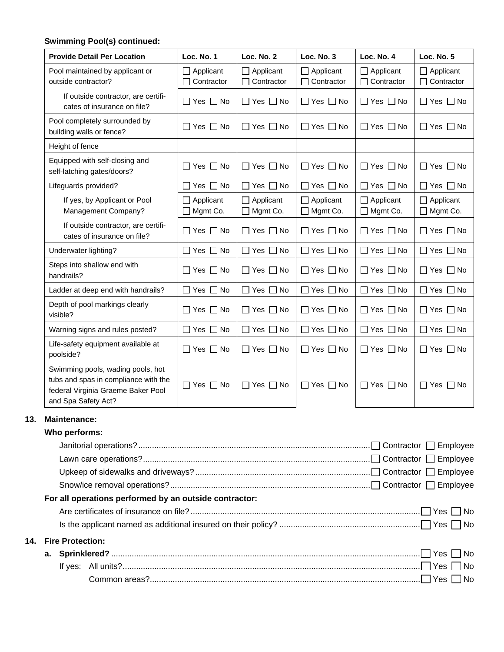# **Swimming Pool(s) continued:**

**13.** 

**14.** 

| <b>Provide Detail Per Location</b>                                                                                                     | Loc. No. 1                          | Loc. No. 2                          | Loc. No. 3                          | Loc. No. 4                   | Loc. No. 5                          |
|----------------------------------------------------------------------------------------------------------------------------------------|-------------------------------------|-------------------------------------|-------------------------------------|------------------------------|-------------------------------------|
| Pool maintained by applicant or<br>outside contractor?                                                                                 | Applicant<br>Contractor             | Applicant<br>П<br>$\Box$ Contractor | Applicant<br>П<br>Contractor<br>П   | Applicant<br>Contractor      | Applicant<br>Contractor             |
| If outside contractor, are certifi-<br>cates of insurance on file?                                                                     | $\Box$ Yes $\Box$ No                | $\Box$ Yes $\Box$ No                | $\Box$ Yes $\Box$ No                | $\Box$ Yes $\Box$ No         | $\Box$ Yes<br>$\Box$ No             |
| Pool completely surrounded by<br>building walls or fence?                                                                              | $\Box$ Yes $\Box$ No                | $\Box$ Yes $\Box$ No                | $\Box$ Yes $\Box$ No                | $\Box$ Yes $\Box$ No         | $\Box$ Yes $\Box$ No                |
| Height of fence                                                                                                                        |                                     |                                     |                                     |                              |                                     |
| Equipped with self-closing and<br>self-latching gates/doors?                                                                           | $\Box$ Yes $\Box$ No                | $\Box$ Yes $\Box$ No                | $\Box$ Yes $\Box$ No                | $\Box$ Yes $\Box$ No         | $\Box$ Yes $\Box$ No                |
| Lifeguards provided?                                                                                                                   | $\Box$ Yes $\Box$ No                | $\Box$ Yes $\Box$ No                | $\Box$ Yes $\Box$ No                | Yes $\Box$ No                | $\Box$ Yes $\Box$ No                |
| If yes, by Applicant or Pool<br>Management Company?                                                                                    | $\Box$ Applicant<br>$\Box$ Mgmt Co. | $\Box$ Applicant<br>$\Box$ Mgmt Co. | $\Box$ Applicant<br>$\Box$ Mgmt Co. | $\Box$ Applicant<br>Mgmt Co. | $\Box$ Applicant<br>$\Box$ Mgmt Co. |
| If outside contractor, are certifi-<br>cates of insurance on file?                                                                     | $\Box$ Yes $\Box$ No                | $\Box$ Yes $\Box$ No                | $\Box$ Yes $\Box$ No                | $\Box$ Yes $\Box$ No         | $\Box$ Yes $\Box$ No                |
| Underwater lighting?                                                                                                                   | $\Box$ Yes $\Box$ No                | $\Box$ Yes $\Box$ No                | $\Box$ Yes $\Box$ No                | $\Box$ Yes $\Box$ No         | $\Box$ Yes $\Box$ No                |
| Steps into shallow end with<br>handrails?                                                                                              | $\Box$ Yes $\Box$ No                | $\Box$ Yes $\Box$ No                | $\Box$ Yes $\Box$ No                | $\Box$ Yes $\Box$ No         | $\Box$ Yes $\Box$ No                |
| Ladder at deep end with handrails?                                                                                                     | $\Box$ Yes $\Box$ No                | $\Box$ Yes $\Box$ No                | $\Box$ Yes $\Box$ No                | $\Box$ Yes $\Box$ No         | $\Box$ Yes $\Box$ No                |
| Depth of pool markings clearly<br>visible?                                                                                             | $\Box$ Yes $\Box$ No                | $\Box$ Yes $\Box$ No                | $\Box$ Yes $\Box$ No                | ∏ Yes ∏ No                   | $\Box$ Yes $\Box$ No                |
| Warning signs and rules posted?                                                                                                        | □ Yes □ No                          | $\Box$ Yes $\Box$ No                | $\Box$ Yes $\Box$ No                | $\Box$ Yes $\Box$ No         | $\Box$ Yes $\Box$ No                |
| Life-safety equipment available at<br>poolside?                                                                                        | $\square$ Yes $\square$ No          | $\Box$ Yes $\Box$ No                | $\Box$ Yes $\Box$ No                | $\Box$ Yes $\Box$ No         | $\Box$ Yes $\Box$ No                |
| Swimming pools, wading pools, hot<br>tubs and spas in compliance with the<br>federal Virginia Graeme Baker Pool<br>and Spa Safety Act? | $\Box$ Yes $\Box$ No                | $\Box$ Yes $\Box$ No                | $\Box$ Yes $\Box$ No                | $\Box$ Yes $\Box$ No         | $\Box$ Yes $\Box$ No                |
| <b>Maintenance:</b>                                                                                                                    |                                     |                                     |                                     |                              |                                     |
| Who performs:                                                                                                                          |                                     |                                     |                                     |                              |                                     |
|                                                                                                                                        |                                     |                                     |                                     |                              |                                     |
|                                                                                                                                        |                                     |                                     |                                     |                              |                                     |
|                                                                                                                                        |                                     |                                     |                                     |                              |                                     |
|                                                                                                                                        |                                     |                                     |                                     |                              |                                     |
| For all operations performed by an outside contractor:                                                                                 |                                     |                                     |                                     |                              |                                     |
|                                                                                                                                        |                                     |                                     |                                     |                              |                                     |
|                                                                                                                                        |                                     |                                     |                                     |                              |                                     |
| <b>Fire Protection:</b>                                                                                                                |                                     |                                     |                                     |                              |                                     |
| а.                                                                                                                                     |                                     |                                     |                                     |                              | l No                                |
|                                                                                                                                        |                                     |                                     |                                     |                              | Yes<br>No                           |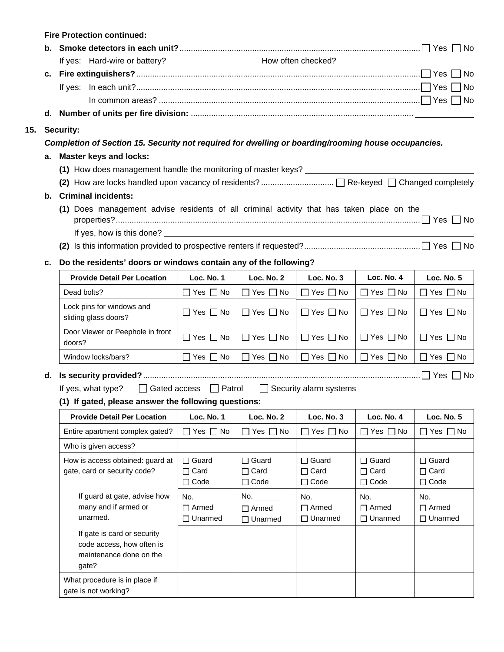|     | <b>Fire Protection continued:</b>                                                                   |                                                                                           |                             |                               |                             |                             |  |  |
|-----|-----------------------------------------------------------------------------------------------------|-------------------------------------------------------------------------------------------|-----------------------------|-------------------------------|-----------------------------|-----------------------------|--|--|
|     |                                                                                                     |                                                                                           |                             |                               |                             |                             |  |  |
|     |                                                                                                     |                                                                                           |                             |                               |                             |                             |  |  |
| c.  |                                                                                                     |                                                                                           |                             |                               |                             |                             |  |  |
|     |                                                                                                     |                                                                                           |                             |                               |                             |                             |  |  |
|     |                                                                                                     |                                                                                           |                             |                               |                             |                             |  |  |
|     |                                                                                                     |                                                                                           |                             |                               |                             |                             |  |  |
| 15. | <b>Security:</b>                                                                                    |                                                                                           |                             |                               |                             |                             |  |  |
|     | Completion of Section 15. Security not required for dwelling or boarding/rooming house occupancies. |                                                                                           |                             |                               |                             |                             |  |  |
| а.  | <b>Master keys and locks:</b>                                                                       |                                                                                           |                             |                               |                             |                             |  |  |
|     |                                                                                                     |                                                                                           |                             |                               |                             |                             |  |  |
|     |                                                                                                     |                                                                                           |                             |                               |                             |                             |  |  |
| b.  | <b>Criminal incidents:</b>                                                                          |                                                                                           |                             |                               |                             |                             |  |  |
|     |                                                                                                     | (1) Does management advise residents of all criminal activity that has taken place on the |                             |                               |                             |                             |  |  |
|     | If yes, how is this done? _____                                                                     |                                                                                           |                             |                               |                             |                             |  |  |
|     |                                                                                                     |                                                                                           |                             |                               |                             |                             |  |  |
| c.  | Do the residents' doors or windows contain any of the following?                                    |                                                                                           |                             |                               |                             |                             |  |  |
|     | <b>Provide Detail Per Location</b>                                                                  | Loc. No. 1                                                                                | Loc. No. 2                  | Loc. No. 3                    | Loc. No. 4                  | Loc. No. 5                  |  |  |
|     | Dead bolts?                                                                                         | $\Box$ Yes $\Box$ No                                                                      | $\Box$ Yes $\Box$ No        | $\Box$ Yes $\Box$ No          | $\Box$ Yes $\Box$ No        | $\Box$ Yes $\Box$ No        |  |  |
|     | Lock pins for windows and<br>sliding glass doors?                                                   | $\Box$ Yes $\Box$ No                                                                      | $\Box$ Yes $\Box$ No        | $\Box$ Yes $\Box$ No          | $\Box$ Yes $\Box$ No        | $\Box$ Yes $\Box$ No        |  |  |
|     | Door Viewer or Peephole in front<br>doors?                                                          | $\Box$ Yes $\Box$ No                                                                      | $\Box$ Yes $\Box$ No        | $\Box$ Yes $\Box$ No          | $\Box$ Yes $\Box$ No        | $\Box$ Yes $\Box$ No        |  |  |
|     | Window locks/bars?                                                                                  | $\Box$ Yes $\Box$ No                                                                      | $\Box$ Yes $\Box$ No        | $\Box$ Yes $\Box$ No          | $\Box$ Yes $\Box$ No        | $\Box$ Yes $\Box$ No        |  |  |
| d.  |                                                                                                     |                                                                                           |                             |                               |                             |                             |  |  |
|     | If yes, what type?<br>(1) If gated, please answer the following questions:                          | □ Gated access □ Patrol                                                                   |                             | $\Box$ Security alarm systems |                             |                             |  |  |
|     | <b>Provide Detail Per Location</b>                                                                  | Loc. No. 1                                                                                | Loc. No. 2                  | Loc. No. 3                    | Loc. No. 4                  | Loc. No. 5                  |  |  |
|     | Entire apartment complex gated?                                                                     | $\Box$ Yes $\Box$ No                                                                      | $\Box$ Yes $\Box$ No        | Yes $\Box$ No                 | $\Box$ Yes $\Box$ No        | $Yes \Box No$               |  |  |
|     | Who is given access?                                                                                |                                                                                           |                             |                               |                             |                             |  |  |
|     |                                                                                                     |                                                                                           |                             |                               |                             |                             |  |  |
|     | How is access obtained: guard at<br>gate, card or security code?                                    | $\Box$ Guard<br>$\Box$ Card                                                               | $\Box$ Guard<br>$\Box$ Card | $\Box$ Guard<br>$\Box$ Card   | $\Box$ Guard<br>$\Box$ Card | $\Box$ Guard<br>$\Box$ Card |  |  |
|     |                                                                                                     | $\Box$ Code                                                                               | $\Box$ Code                 | $\Box$ Code                   | $\Box$ Code                 | $\Box$ Code                 |  |  |
|     | If guard at gate, advise how                                                                        | No.                                                                                       | No. $\_\_$                  | No.                           | No.                         | No.                         |  |  |
|     | many and if armed or                                                                                | $\Box$ Armed                                                                              | $\Box$ Armed                | $\Box$ Armed                  | $\Box$ Armed                | $\Box$ Armed                |  |  |
|     | unarmed.                                                                                            | $\Box$ Unarmed                                                                            | $\Box$ Unarmed              | $\Box$ Unarmed                | $\Box$ Unarmed              | $\Box$ Unarmed              |  |  |
|     | If gate is card or security<br>code access, how often is<br>maintenance done on the<br>gate?        |                                                                                           |                             |                               |                             |                             |  |  |
|     | What procedure is in place if<br>gate is not working?                                               |                                                                                           |                             |                               |                             |                             |  |  |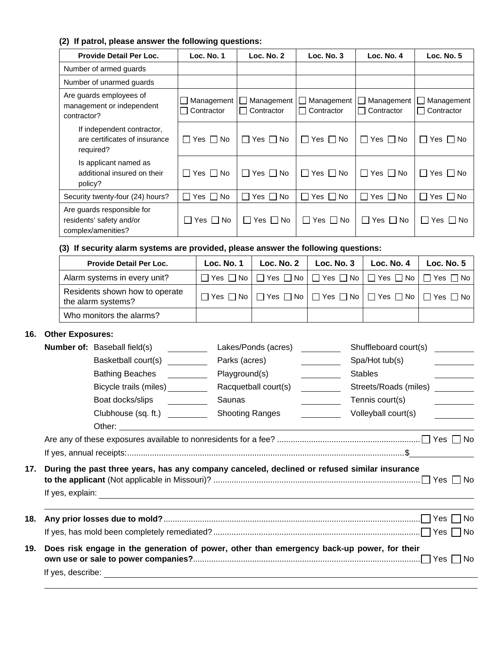## **(2) If patrol, please answer the following questions:**

| <b>Provide Detail Per Loc.</b>                                               | Loc. No. 1               | Loc. No. 2                                        | Loc. No. 3                             | Loc. No. 4                                                 | Loc. $No. 5$             |
|------------------------------------------------------------------------------|--------------------------|---------------------------------------------------|----------------------------------------|------------------------------------------------------------|--------------------------|
| Number of armed guards                                                       |                          |                                                   |                                        |                                                            |                          |
| Number of unarmed guards                                                     |                          |                                                   |                                        |                                                            |                          |
| Are guards employees of<br>management or independent<br>contractor?          | □ Contractor             | Management   Management  <br>Contractor<br>$\Box$ | $\Box$ Management<br>$\Box$ Contractor | Management  <br>$\mathbf{1}$<br>Contractor<br>$\mathbf{I}$ | Management<br>Contractor |
| If independent contractor,<br>are certificates of insurance<br>required?     | $\Box$ Yes $\Box$<br>No. | $\vert$ $\vert$ Yes $\vert$ No                    | $\Box$ Yes $\Box$ No                   | $\Box$ Yes $\Box$ No                                       | $\Box$ Yes $\Box$ No     |
| Is applicant named as<br>additional insured on their<br>policy?              | $\Box$ Yes $\Box$ No     | $\Box$ Yes $\Box$ No                              | $\Box$ Yes $\Box$ No                   | $\Box$ Yes $\Box$ No                                       | Yes     No<br>$\Box$     |
| Security twenty-four (24) hours?                                             | $\Box$ Yes $\Box$<br>No. | $\Box$ Yes $\Box$ No                              | No<br>$\Box$ Yes $\Box$                | $\Box$ Yes $\Box$ No                                       | $\Box$ Yes $\Box$ No     |
| Are guards responsible for<br>residents' safety and/or<br>complex/amenities? | ∐ Yes     No             | Yes     No<br>$\Box$                              | $\Box$ Yes $\Box$ No                   | $\Box$ Yes $\Box$ No                                       | ∐ Yes ∐ No               |

## **(3) If security alarm systems are provided, please answer the following questions:**

| <b>Provide Detail Per Loc.</b>                       | Loc. No. 1 | Loc. No. $2 \parallel$ | Loc. No. $3$ $\parallel$                                                                                 | Loc. No. 4 | <b>Loc. No. 5</b> |
|------------------------------------------------------|------------|------------------------|----------------------------------------------------------------------------------------------------------|------------|-------------------|
| Alarm systems in every unit?                         |            |                        | $\Box$ Yes $\Box$ No $\Box$ Yes $\Box$ No $\Box$ Yes $\Box$ No $\Box$ Yes $\Box$ No $\Box$ Yes $\Box$ No |            |                   |
| Residents shown how to operate<br>the alarm systems? |            |                        | コ Yes コ No   □ Yes □ No   □ Yes □ No   □ Yes □ No   □ Yes □ No                                           |            |                   |
| Who monitors the alarms?                             |            |                        |                                                                                                          |            |                   |

### **16. Other Exposures:**

|     |                                                                                            | <b>Number of:</b> Baseball field(s)                                                                                                                                                                                   | Lakes/Ponds (acres)    |  | Shuffleboard court(s) |                         |  |
|-----|--------------------------------------------------------------------------------------------|-----------------------------------------------------------------------------------------------------------------------------------------------------------------------------------------------------------------------|------------------------|--|-----------------------|-------------------------|--|
|     |                                                                                            | Basketball court(s)                                                                                                                                                                                                   | Parks (acres)          |  | Spa/Hot tub(s)        |                         |  |
|     |                                                                                            | <b>Bathing Beaches</b><br><u>and the state</u>                                                                                                                                                                        | Playground(s)          |  | <b>Stables</b>        |                         |  |
|     |                                                                                            | Bicycle trails (miles) _________                                                                                                                                                                                      | Racquetball court(s)   |  | Streets/Roads (miles) | <u> a serie de la p</u> |  |
|     |                                                                                            | Boat docks/slips                                                                                                                                                                                                      | Saunas                 |  | Tennis court(s)       |                         |  |
|     |                                                                                            | Clubhouse (sq. ft.)                                                                                                                                                                                                   | <b>Shooting Ranges</b> |  | Volleyball court(s)   |                         |  |
|     |                                                                                            |                                                                                                                                                                                                                       |                        |  |                       |                         |  |
|     |                                                                                            |                                                                                                                                                                                                                       |                        |  |                       |                         |  |
|     |                                                                                            |                                                                                                                                                                                                                       |                        |  |                       |                         |  |
| 17. | If yes, explain:                                                                           | During the past three years, has any company canceled, declined or refused similar insurance<br><u> 1989 - Johann Stoff, deutscher Stoff, der Stoff, der Stoff, der Stoff, der Stoff, der Stoff, der Stoff, der S</u> |                        |  |                       |                         |  |
| 18. |                                                                                            |                                                                                                                                                                                                                       |                        |  |                       |                         |  |
|     |                                                                                            |                                                                                                                                                                                                                       |                        |  |                       |                         |  |
| 19. | Does risk engage in the generation of power, other than emergency back-up power, for their |                                                                                                                                                                                                                       |                        |  |                       |                         |  |
|     | If yes, describe:                                                                          |                                                                                                                                                                                                                       |                        |  |                       |                         |  |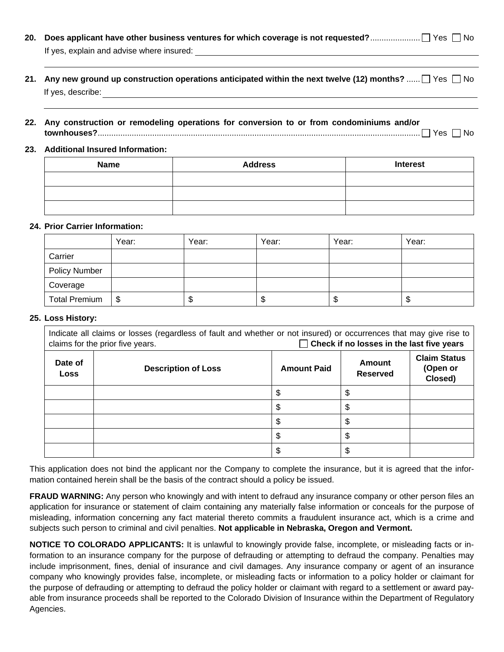| If yes, explain and advise where insured: |  |
|-------------------------------------------|--|

- **21. Any new ground up construction operations anticipated within the next twelve (12) months?** ......  $\Box$  Yes  $\Box$  No If yes, describe:  $\qquad \qquad \qquad$
- **22. Any construction or remodeling operations for conversion to or from condominiums and/or townhouses?**.............................................................................................................................................. Yes No

#### **23. Additional Insured Information:**

| <b>Name</b> | <b>Address</b> | <b>Interest</b> |  |
|-------------|----------------|-----------------|--|
|             |                |                 |  |
|             |                |                 |  |
|             |                |                 |  |

#### **24. Prior Carrier Information:**

|                      | Year: | Year: | Year: | Year: | Year: |
|----------------------|-------|-------|-------|-------|-------|
| Carrier              |       |       |       |       |       |
| <b>Policy Number</b> |       |       |       |       |       |
| Coverage             |       |       |       |       |       |
| <b>Total Premium</b> | \$    | ۰D    | D     | \$    | ۰D    |

#### **25. Loss History:**

| Indicate all claims or losses (regardless of fault and whether or not insured) or occurrences that may give rise to<br>$\Box$ Check if no losses in the last five years<br>claims for the prior five years. |                            |                    |                           |                                            |
|-------------------------------------------------------------------------------------------------------------------------------------------------------------------------------------------------------------|----------------------------|--------------------|---------------------------|--------------------------------------------|
| Date of<br><b>Loss</b>                                                                                                                                                                                      | <b>Description of Loss</b> | <b>Amount Paid</b> | Amount<br><b>Reserved</b> | <b>Claim Status</b><br>(Open or<br>Closed) |
|                                                                                                                                                                                                             |                            |                    |                           |                                            |
|                                                                                                                                                                                                             |                            |                    |                           |                                            |
|                                                                                                                                                                                                             |                            |                    |                           |                                            |
|                                                                                                                                                                                                             |                            |                    |                           |                                            |
|                                                                                                                                                                                                             |                            |                    |                           |                                            |

This application does not bind the applicant nor the Company to complete the insurance, but it is agreed that the information contained herein shall be the basis of the contract should a policy be issued.

**FRAUD WARNING:** Any person who knowingly and with intent to defraud any insurance company or other person files an application for insurance or statement of claim containing any materially false information or conceals for the purpose of misleading, information concerning any fact material thereto commits a fraudulent insurance act, which is a crime and subjects such person to criminal and civil penalties. **Not applicable in Nebraska, Oregon and Vermont.**

**NOTICE TO COLORADO APPLICANTS:** It is unlawful to knowingly provide false, incomplete, or misleading facts or information to an insurance company for the purpose of defrauding or attempting to defraud the company. Penalties may include imprisonment, fines, denial of insurance and civil damages. Any insurance company or agent of an insurance company who knowingly provides false, incomplete, or misleading facts or information to a policy holder or claimant for the purpose of defrauding or attempting to defraud the policy holder or claimant with regard to a settlement or award payable from insurance proceeds shall be reported to the Colorado Division of Insurance within the Department of Regulatory Agencies.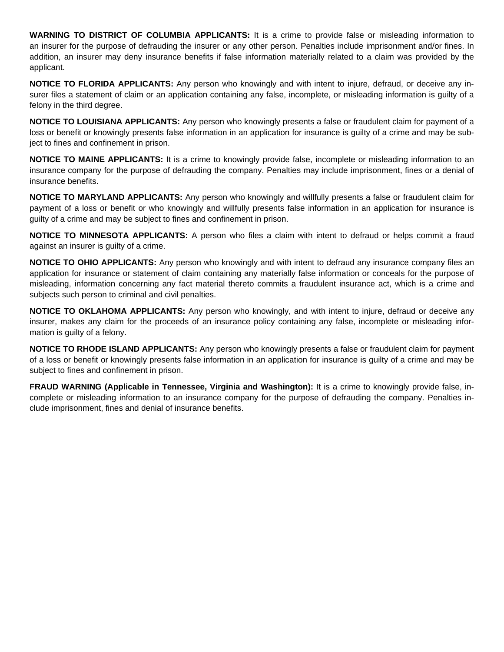**WARNING TO DISTRICT OF COLUMBIA APPLICANTS:** It is a crime to provide false or misleading information to an insurer for the purpose of defrauding the insurer or any other person. Penalties include imprisonment and/or fines. In addition, an insurer may deny insurance benefits if false information materially related to a claim was provided by the applicant.

**NOTICE TO FLORIDA APPLICANTS:** Any person who knowingly and with intent to injure, defraud, or deceive any insurer files a statement of claim or an application containing any false, incomplete, or misleading information is guilty of a felony in the third degree.

**NOTICE TO LOUISIANA APPLICANTS:** Any person who knowingly presents a false or fraudulent claim for payment of a loss or benefit or knowingly presents false information in an application for insurance is guilty of a crime and may be subject to fines and confinement in prison.

**NOTICE TO MAINE APPLICANTS:** It is a crime to knowingly provide false, incomplete or misleading information to an insurance company for the purpose of defrauding the company. Penalties may include imprisonment, fines or a denial of insurance benefits.

**NOTICE TO MARYLAND APPLICANTS:** Any person who knowingly and willfully presents a false or fraudulent claim for payment of a loss or benefit or who knowingly and willfully presents false information in an application for insurance is guilty of a crime and may be subject to fines and confinement in prison.

**NOTICE TO MINNESOTA APPLICANTS:** A person who files a claim with intent to defraud or helps commit a fraud against an insurer is guilty of a crime.

**NOTICE TO OHIO APPLICANTS:** Any person who knowingly and with intent to defraud any insurance company files an application for insurance or statement of claim containing any materially false information or conceals for the purpose of misleading, information concerning any fact material thereto commits a fraudulent insurance act, which is a crime and subjects such person to criminal and civil penalties.

**NOTICE TO OKLAHOMA APPLICANTS:** Any person who knowingly, and with intent to injure, defraud or deceive any insurer, makes any claim for the proceeds of an insurance policy containing any false, incomplete or misleading information is guilty of a felony.

**NOTICE TO RHODE ISLAND APPLICANTS:** Any person who knowingly presents a false or fraudulent claim for payment of a loss or benefit or knowingly presents false information in an application for insurance is guilty of a crime and may be subject to fines and confinement in prison.

**FRAUD WARNING (Applicable in Tennessee, Virginia and Washington):** It is a crime to knowingly provide false, incomplete or misleading information to an insurance company for the purpose of defrauding the company. Penalties include imprisonment, fines and denial of insurance benefits.